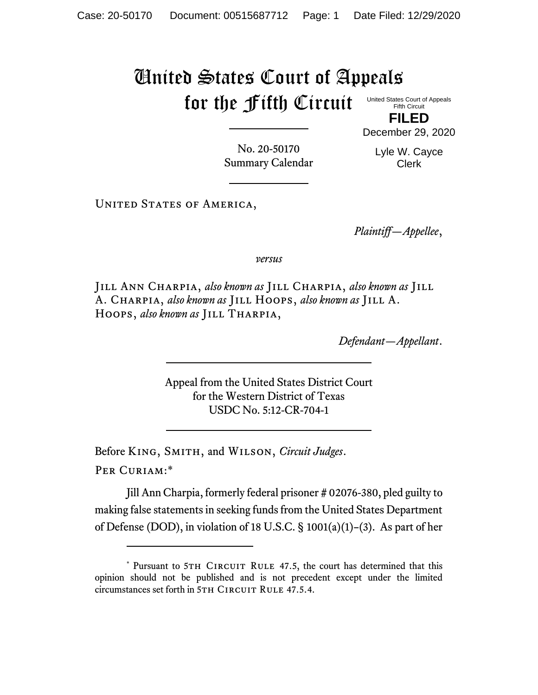## United States Court of Appeals for the Fifth Circuit

United States Court of Appeals Fifth Circuit

**FILED** December 29, 2020

No. 20-50170 Summary Calendar Lyle W. Cayce Clerk

UNITED STATES OF AMERICA,

*Plaintiff—Appellee*,

*versus*

Jill Ann Charpia, *also known as* Jill Charpia, *also known as* Jill A. Charpia, *also known as* Jill Hoops, *also known as* Jill A. Hoops, *also known as* Jill Tharpia,

*Defendant—Appellant*.

Appeal from the United States District Court for the Western District of Texas USDC No. 5:12-CR-704-1

Before King, Smith, and Wilson, *Circuit Judges*.

Per Curiam:\*

Jill Ann Charpia, formerly federal prisoner # 02076-380, pled guilty to making false statements in seeking funds from the United States Department of Defense (DOD), in violation of 18 U.S.C. § 1001(a)(1)–(3). As part of her

<sup>\*</sup> Pursuant to 5TH CIRCUIT RULE 47.5, the court has determined that this opinion should not be published and is not precedent except under the limited circumstances set forth in 5TH CIRCUIT RULE 47.5.4.